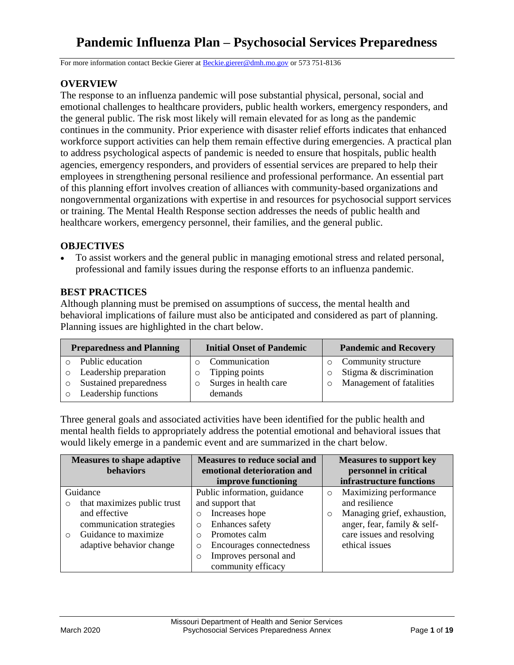# **Pandemic Influenza Plan – Psychosocial Services Preparedness**

For more information contact Beckie Gierer at [Beckie.gierer@dmh.mo.gov](mailto:Beckie.gierer@dmh.mo.gov) or 573 751-8136

## **OVERVIEW**

The response to an influenza pandemic will pose substantial physical, personal, social and emotional challenges to healthcare providers, public health workers, emergency responders, and the general public. The risk most likely will remain elevated for as long as the pandemic continues in the community. Prior experience with disaster relief efforts indicates that enhanced workforce support activities can help them remain effective during emergencies. A practical plan to address psychological aspects of pandemic is needed to ensure that hospitals, public health agencies, emergency responders, and providers of essential services are prepared to help their employees in strengthening personal resilience and professional performance. An essential part of this planning effort involves creation of alliances with community-based organizations and nongovernmental organizations with expertise in and resources for psychosocial support services or training. The Mental Health Response section addresses the needs of public health and healthcare workers, emergency personnel, their families, and the general public.

#### **OBJECTIVES**

 To assist workers and the general public in managing emotional stress and related personal, professional and family issues during the response efforts to an influenza pandemic.

### **BEST PRACTICES**

Although planning must be premised on assumptions of success, the mental health and behavioral implications of failure must also be anticipated and considered as part of planning. Planning issues are highlighted in the chart below.

| <b>Preparedness and Planning</b>  | <b>Initial Onset of Pandemic</b> | <b>Pandemic and Recovery</b>        |  |
|-----------------------------------|----------------------------------|-------------------------------------|--|
| Public education                  | Communication                    | Community structure                 |  |
| Leadership preparation<br>$\circ$ | Tipping points<br>$\circ$        | Stigma & discrimination<br>$\circ$  |  |
| Sustained preparedness            | Surges in health care<br>$\circ$ | Management of fatalities<br>$\circ$ |  |
| Leadership functions              | demands                          |                                     |  |

Three general goals and associated activities have been identified for the public health and mental health fields to appropriately address the potential emotional and behavioral issues that would likely emerge in a pandemic event and are summarized in the chart below.

|           | <b>Measures to shape adaptive</b><br>behaviors | <b>Measures to reduce social and</b><br>emotional deterioration and |          | <b>Measures to support key</b><br>personnel in critical |
|-----------|------------------------------------------------|---------------------------------------------------------------------|----------|---------------------------------------------------------|
|           |                                                | improve functioning                                                 |          | infrastructure functions                                |
|           | Guidance                                       | Public information, guidance                                        | $\circ$  | Maximizing performance                                  |
| $\circ$   | that maximizes public trust                    | and support that                                                    |          | and resilience                                          |
|           | and effective                                  | Increases hope<br>$\Omega$                                          | $\Omega$ | Managing grief, exhaustion,                             |
|           | communication strategies                       | Enhances safety<br>$\Omega$                                         |          | anger, fear, family & self-                             |
| $\bigcap$ | Guidance to maximize                           | Promotes calm<br>$\Omega$                                           |          | care issues and resolving                               |
|           | adaptive behavior change                       | Encourages connectedness<br>$\circ$                                 |          | ethical issues                                          |
|           |                                                | Improves personal and<br>$\circ$                                    |          |                                                         |
|           |                                                | community efficacy                                                  |          |                                                         |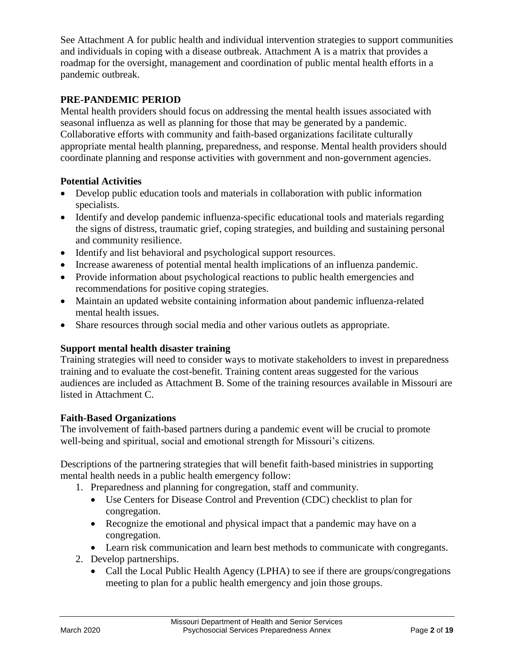See Attachment A for public health and individual intervention strategies to support communities and individuals in coping with a disease outbreak. Attachment A is a matrix that provides a roadmap for the oversight, management and coordination of public mental health efforts in a pandemic outbreak.

## **PRE-PANDEMIC PERIOD**

Mental health providers should focus on addressing the mental health issues associated with seasonal influenza as well as planning for those that may be generated by a pandemic. Collaborative efforts with community and faith-based organizations facilitate culturally appropriate mental health planning, preparedness, and response. Mental health providers should coordinate planning and response activities with government and non-government agencies.

## **Potential Activities**

- Develop public education tools and materials in collaboration with public information specialists.
- Identify and develop pandemic influenza-specific educational tools and materials regarding the signs of distress, traumatic grief, coping strategies, and building and sustaining personal and community resilience.
- Identify and list behavioral and psychological support resources.
- Increase awareness of potential mental health implications of an influenza pandemic.
- Provide information about psychological reactions to public health emergencies and recommendations for positive coping strategies.
- Maintain an updated website containing information about pandemic influenza-related mental health issues.
- Share resources through social media and other various outlets as appropriate.

# **Support mental health disaster training**

Training strategies will need to consider ways to motivate stakeholders to invest in preparedness training and to evaluate the cost-benefit. Training content areas suggested for the various audiences are included as Attachment B. Some of the training resources available in Missouri are listed in Attachment C.

## **Faith-Based Organizations**

The involvement of faith-based partners during a pandemic event will be crucial to promote well-being and spiritual, social and emotional strength for Missouri's citizens.

Descriptions of the partnering strategies that will benefit faith-based ministries in supporting mental health needs in a public health emergency follow:

- 1. Preparedness and planning for congregation, staff and community.
	- Use Centers for Disease Control and Prevention (CDC) checklist to plan for congregation.
	- Recognize the emotional and physical impact that a pandemic may have on a congregation.
	- Learn risk communication and learn best methods to communicate with congregants.
- 2. Develop partnerships.
	- Call the Local Public Health Agency (LPHA) to see if there are groups/congregations meeting to plan for a public health emergency and join those groups.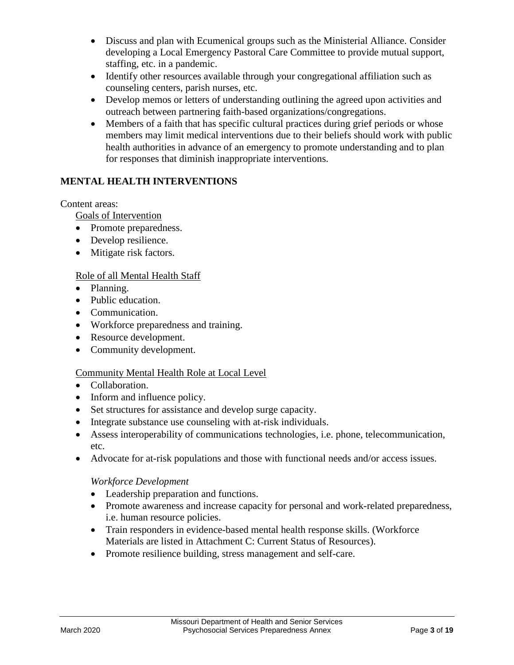- Discuss and plan with Ecumenical groups such as the Ministerial Alliance. Consider developing a Local Emergency Pastoral Care Committee to provide mutual support, staffing, etc. in a pandemic.
- Identify other resources available through your congregational affiliation such as counseling centers, parish nurses, etc.
- Develop memos or letters of understanding outlining the agreed upon activities and outreach between partnering faith-based organizations/congregations.
- Members of a faith that has specific cultural practices during grief periods or whose members may limit medical interventions due to their beliefs should work with public health authorities in advance of an emergency to promote understanding and to plan for responses that diminish inappropriate interventions.

# **MENTAL HEALTH INTERVENTIONS**

## Content areas:

Goals of Intervention

- Promote preparedness.
- Develop resilience.
- Mitigate risk factors.

## Role of all Mental Health Staff

- Planning.
- Public education.
- Communication.
- Workforce preparedness and training.
- Resource development.
- Community development.

## Community Mental Health Role at Local Level

- Collaboration.
- Inform and influence policy.
- Set structures for assistance and develop surge capacity.
- Integrate substance use counseling with at-risk individuals.
- Assess interoperability of communications technologies, i.e. phone, telecommunication, etc.
- Advocate for at-risk populations and those with functional needs and/or access issues.

## *Workforce Development*

- Leadership preparation and functions.
- Promote awareness and increase capacity for personal and work-related preparedness, i.e. human resource policies.
- Train responders in evidence-based mental health response skills. (Workforce Materials are listed in Attachment C: Current Status of Resources).
- Promote resilience building, stress management and self-care.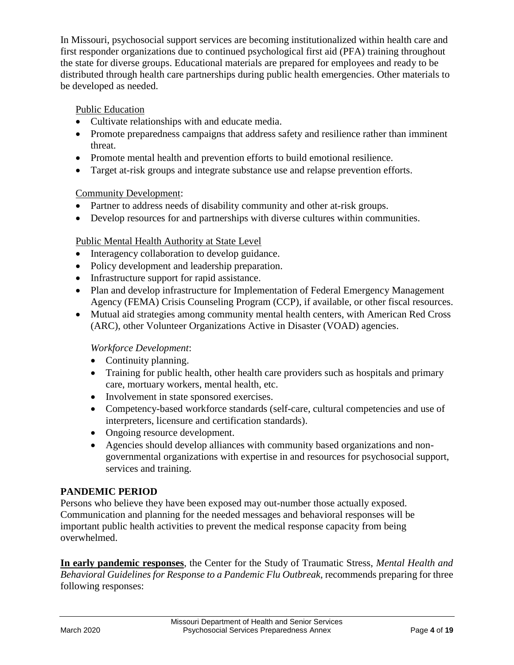In Missouri, psychosocial support services are becoming institutionalized within health care and first responder organizations due to continued psychological first aid (PFA) training throughout the state for diverse groups. Educational materials are prepared for employees and ready to be distributed through health care partnerships during public health emergencies. Other materials to be developed as needed.

## Public Education

- Cultivate relationships with and educate media.
- Promote preparedness campaigns that address safety and resilience rather than imminent threat.
- Promote mental health and prevention efforts to build emotional resilience.
- Target at-risk groups and integrate substance use and relapse prevention efforts.

## Community Development:

- Partner to address needs of disability community and other at-risk groups.
- Develop resources for and partnerships with diverse cultures within communities.

## Public Mental Health Authority at State Level

- Interagency collaboration to develop guidance.
- Policy development and leadership preparation.
- Infrastructure support for rapid assistance.
- Plan and develop infrastructure for Implementation of Federal Emergency Management Agency (FEMA) Crisis Counseling Program (CCP), if available, or other fiscal resources.
- Mutual aid strategies among community mental health centers, with American Red Cross (ARC), other Volunteer Organizations Active in Disaster (VOAD) agencies.

## *Workforce Development*:

- Continuity planning.
- Training for public health, other health care providers such as hospitals and primary care, mortuary workers, mental health, etc.
- Involvement in state sponsored exercises.
- Competency-based workforce standards (self-care, cultural competencies and use of interpreters, licensure and certification standards).
- Ongoing resource development.
- Agencies should develop alliances with community based organizations and nongovernmental organizations with expertise in and resources for psychosocial support, services and training.

# **PANDEMIC PERIOD**

Persons who believe they have been exposed may out-number those actually exposed. Communication and planning for the needed messages and behavioral responses will be important public health activities to prevent the medical response capacity from being overwhelmed.

**In early pandemic responses**, the Center for the Study of Traumatic Stress, *Mental Health and Behavioral Guidelines for Response to a Pandemic Flu Outbreak,* recommends preparing for three following responses: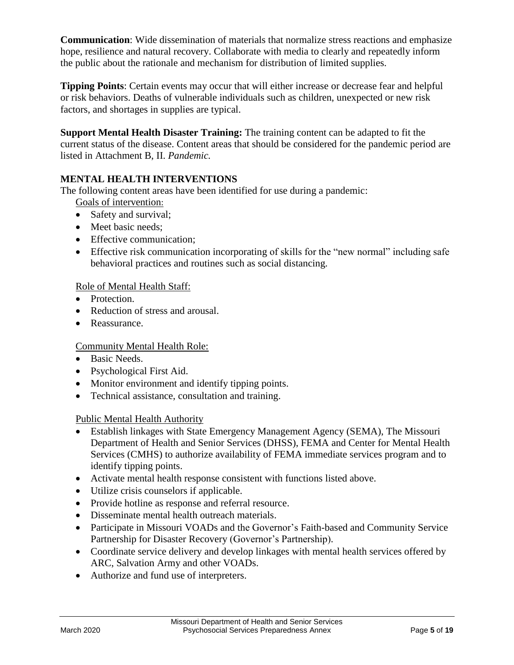**Communication**: Wide dissemination of materials that normalize stress reactions and emphasize hope, resilience and natural recovery. Collaborate with media to clearly and repeatedly inform the public about the rationale and mechanism for distribution of limited supplies.

**Tipping Points**: Certain events may occur that will either increase or decrease fear and helpful or risk behaviors. Deaths of vulnerable individuals such as children, unexpected or new risk factors, and shortages in supplies are typical.

**Support Mental Health Disaster Training:** The training content can be adapted to fit the current status of the disease. Content areas that should be considered for the pandemic period are listed in Attachment B, II. *Pandemic.*

# **MENTAL HEALTH INTERVENTIONS**

The following content areas have been identified for use during a pandemic:

Goals of intervention:

- Safety and survival;
- Meet basic needs:
- Effective communication:
- Effective risk communication incorporating of skills for the "new normal" including safe behavioral practices and routines such as social distancing.

# Role of Mental Health Staff:

- Protection.
- Reduction of stress and arousal.
- Reassurance.

# Community Mental Health Role:

- Basic Needs.
- Psychological First Aid.
- Monitor environment and identify tipping points.
- Technical assistance, consultation and training.

# Public Mental Health Authority

- Establish linkages with State Emergency Management Agency (SEMA), The Missouri Department of Health and Senior Services (DHSS), FEMA and Center for Mental Health Services (CMHS) to authorize availability of FEMA immediate services program and to identify tipping points.
- Activate mental health response consistent with functions listed above.
- Utilize crisis counselors if applicable.
- Provide hotline as response and referral resource.
- Disseminate mental health outreach materials.
- Participate in Missouri VOADs and the Governor's Faith-based and Community Service Partnership for Disaster Recovery (Governor's Partnership).
- Coordinate service delivery and develop linkages with mental health services offered by ARC, Salvation Army and other VOADs.
- Authorize and fund use of interpreters.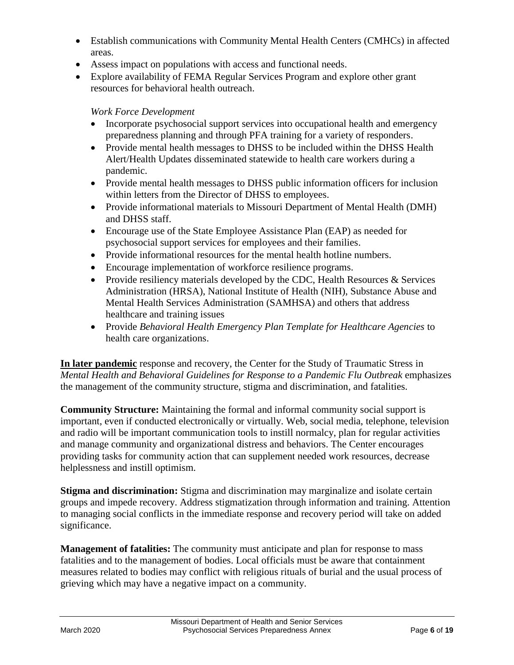- Establish communications with Community Mental Health Centers (CMHCs) in affected areas.
- Assess impact on populations with access and functional needs.
- Explore availability of FEMA Regular Services Program and explore other grant resources for behavioral health outreach.

## *Work Force Development*

- Incorporate psychosocial support services into occupational health and emergency preparedness planning and through PFA training for a variety of responders.
- Provide mental health messages to DHSS to be included within the DHSS Health Alert/Health Updates disseminated statewide to health care workers during a pandemic.
- Provide mental health messages to DHSS public information officers for inclusion within letters from the Director of DHSS to employees.
- Provide informational materials to Missouri Department of Mental Health (DMH) and DHSS staff.
- Encourage use of the State Employee Assistance Plan (EAP) as needed for psychosocial support services for employees and their families.
- Provide informational resources for the mental health hotline numbers.
- Encourage implementation of workforce resilience programs.
- Provide resiliency materials developed by the CDC, Health Resources & Services Administration (HRSA), National Institute of Health (NIH), Substance Abuse and Mental Health Services Administration (SAMHSA) and others that address healthcare and training issues
- Provide *Behavioral Health Emergency Plan Template for Healthcare Agencies* to health care organizations.

**In later pandemic** response and recovery, the Center for the Study of Traumatic Stress in *Mental Health and Behavioral Guidelines for Response to a Pandemic Flu Outbreak* emphasizes the management of the community structure, stigma and discrimination, and fatalities.

**Community Structure:** Maintaining the formal and informal community social support is important, even if conducted electronically or virtually. Web, social media, telephone, television and radio will be important communication tools to instill normalcy, plan for regular activities and manage community and organizational distress and behaviors. The Center encourages providing tasks for community action that can supplement needed work resources, decrease helplessness and instill optimism.

**Stigma and discrimination:** Stigma and discrimination may marginalize and isolate certain groups and impede recovery. Address stigmatization through information and training. Attention to managing social conflicts in the immediate response and recovery period will take on added significance.

**Management of fatalities:** The community must anticipate and plan for response to mass fatalities and to the management of bodies. Local officials must be aware that containment measures related to bodies may conflict with religious rituals of burial and the usual process of grieving which may have a negative impact on a community.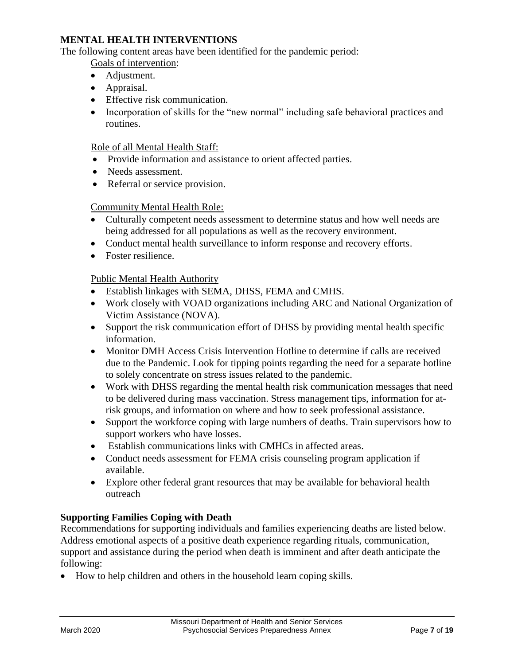## **MENTAL HEALTH INTERVENTIONS**

The following content areas have been identified for the pandemic period:

Goals of intervention:

- Adjustment.
- Appraisal.
- Effective risk communication.
- Incorporation of skills for the "new normal" including safe behavioral practices and routines.

## Role of all Mental Health Staff:

- Provide information and assistance to orient affected parties.
- Needs assessment.
- Referral or service provision.

#### Community Mental Health Role:

- Culturally competent needs assessment to determine status and how well needs are being addressed for all populations as well as the recovery environment.
- Conduct mental health surveillance to inform response and recovery efforts.
- Foster resilience.

#### Public Mental Health Authority

- Establish linkages with SEMA, DHSS, FEMA and CMHS.
- Work closely with VOAD organizations including ARC and National Organization of Victim Assistance (NOVA).
- Support the risk communication effort of DHSS by providing mental health specific information.
- Monitor DMH Access Crisis Intervention Hotline to determine if calls are received due to the Pandemic. Look for tipping points regarding the need for a separate hotline to solely concentrate on stress issues related to the pandemic.
- Work with DHSS regarding the mental health risk communication messages that need to be delivered during mass vaccination. Stress management tips, information for atrisk groups, and information on where and how to seek professional assistance.
- Support the workforce coping with large numbers of deaths. Train supervisors how to support workers who have losses.
- Establish communications links with CMHCs in affected areas.
- Conduct needs assessment for FEMA crisis counseling program application if available.
- Explore other federal grant resources that may be available for behavioral health outreach

## **Supporting Families Coping with Death**

Recommendations for supporting individuals and families experiencing deaths are listed below. Address emotional aspects of a positive death experience regarding rituals, communication, support and assistance during the period when death is imminent and after death anticipate the following:

• How to help children and others in the household learn coping skills.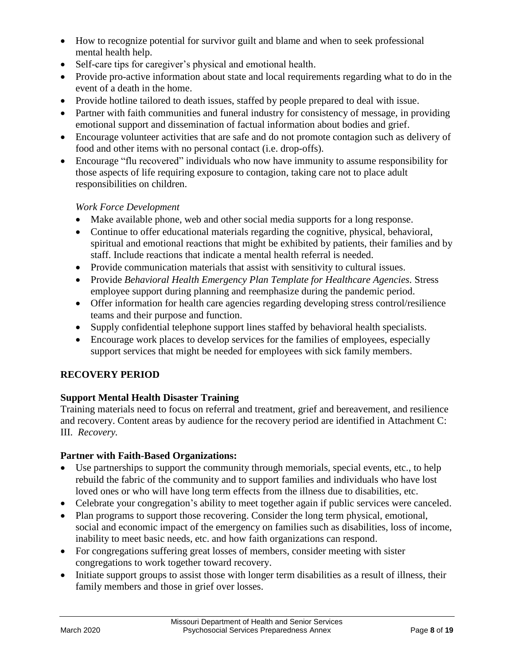- How to recognize potential for survivor guilt and blame and when to seek professional mental health help.
- Self-care tips for caregiver's physical and emotional health.
- Provide pro-active information about state and local requirements regarding what to do in the event of a death in the home.
- Provide hotline tailored to death issues, staffed by people prepared to deal with issue.
- Partner with faith communities and funeral industry for consistency of message, in providing emotional support and dissemination of factual information about bodies and grief.
- Encourage volunteer activities that are safe and do not promote contagion such as delivery of food and other items with no personal contact (i.e. drop-offs).
- Encourage "flu recovered" individuals who now have immunity to assume responsibility for those aspects of life requiring exposure to contagion, taking care not to place adult responsibilities on children.

## *Work Force Development*

- Make available phone, web and other social media supports for a long response.
- Continue to offer educational materials regarding the cognitive, physical, behavioral, spiritual and emotional reactions that might be exhibited by patients, their families and by staff. Include reactions that indicate a mental health referral is needed.
- Provide communication materials that assist with sensitivity to cultural issues.
- Provide *Behavioral Health Emergency Plan Template for Healthcare Agencies.* Stress employee support during planning and reemphasize during the pandemic period.
- Offer information for health care agencies regarding developing stress control/resilience teams and their purpose and function.
- Supply confidential telephone support lines staffed by behavioral health specialists.
- Encourage work places to develop services for the families of employees, especially support services that might be needed for employees with sick family members.

## **RECOVERY PERIOD**

## **Support Mental Health Disaster Training**

Training materials need to focus on referral and treatment, grief and bereavement, and resilience and recovery. Content areas by audience for the recovery period are identified in Attachment C: III. *Recovery.*

#### **Partner with Faith-Based Organizations:**

- Use partnerships to support the community through memorials, special events, etc., to help rebuild the fabric of the community and to support families and individuals who have lost loved ones or who will have long term effects from the illness due to disabilities, etc.
- Celebrate your congregation's ability to meet together again if public services were canceled.
- Plan programs to support those recovering. Consider the long term physical, emotional, social and economic impact of the emergency on families such as disabilities, loss of income, inability to meet basic needs, etc. and how faith organizations can respond.
- For congregations suffering great losses of members, consider meeting with sister congregations to work together toward recovery.
- Initiate support groups to assist those with longer term disabilities as a result of illness, their family members and those in grief over losses.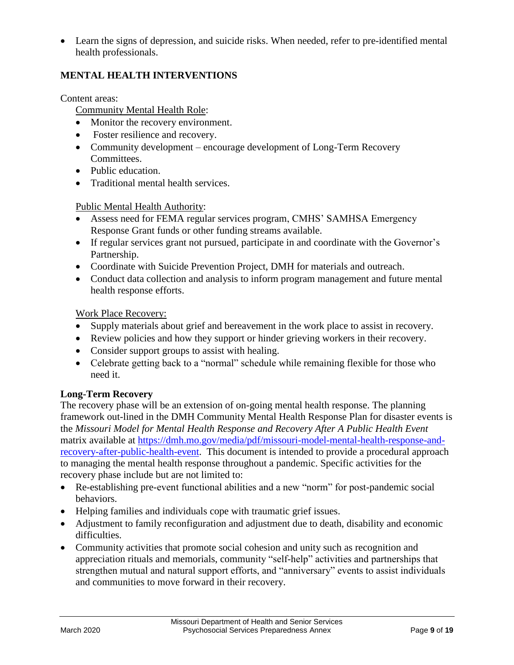Learn the signs of depression, and suicide risks. When needed, refer to pre-identified mental health professionals.

# **MENTAL HEALTH INTERVENTIONS**

#### Content areas:

## Community Mental Health Role:

- Monitor the recovery environment.
- Foster resilience and recovery.
- Community development encourage development of Long-Term Recovery Committees.
- Public education.
- Traditional mental health services.

#### Public Mental Health Authority:

- Assess need for FEMA regular services program, CMHS' SAMHSA Emergency Response Grant funds or other funding streams available.
- If regular services grant not pursued, participate in and coordinate with the Governor's Partnership.
- Coordinate with Suicide Prevention Project, DMH for materials and outreach.
- Conduct data collection and analysis to inform program management and future mental health response efforts.

#### Work Place Recovery:

- Supply materials about grief and bereavement in the work place to assist in recovery.
- Review policies and how they support or hinder grieving workers in their recovery.
- Consider support groups to assist with healing.
- Celebrate getting back to a "normal" schedule while remaining flexible for those who need it.

#### **Long-Term Recovery**

The recovery phase will be an extension of on-going mental health response. The planning framework out-lined in the DMH Community Mental Health Response Plan for disaster events is the *Missouri Model for Mental Health Response and Recovery After A Public Health Event* matrix available at [https://dmh.mo.gov/media/pdf/missouri-model-mental-health-response-and](https://dmh.mo.gov/media/pdf/missouri-model-mental-health-response-and-recovery-after-public-health-event)[recovery-after-public-health-event.](https://dmh.mo.gov/media/pdf/missouri-model-mental-health-response-and-recovery-after-public-health-event) This document is intended to provide a procedural approach to managing the mental health response throughout a pandemic. Specific activities for the recovery phase include but are not limited to:

- Re-establishing pre-event functional abilities and a new "norm" for post-pandemic social behaviors.
- Helping families and individuals cope with traumatic grief issues.
- Adjustment to family reconfiguration and adjustment due to death, disability and economic difficulties.
- Community activities that promote social cohesion and unity such as recognition and appreciation rituals and memorials, community "self-help" activities and partnerships that strengthen mutual and natural support efforts, and "anniversary" events to assist individuals and communities to move forward in their recovery.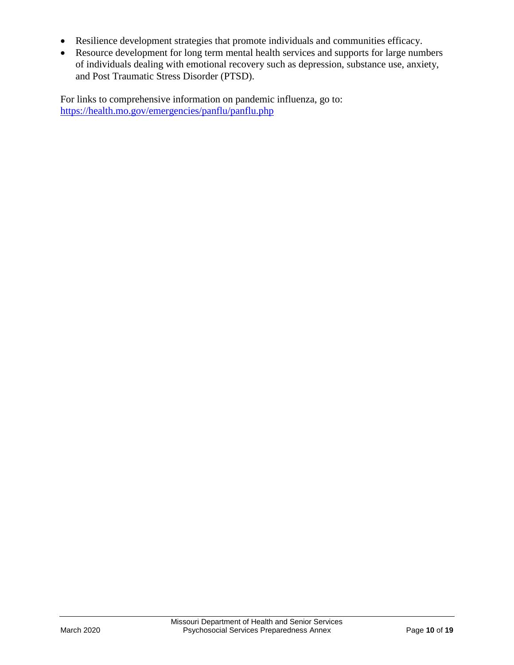- Resilience development strategies that promote individuals and communities efficacy.
- Resource development for long term mental health services and supports for large numbers of individuals dealing with emotional recovery such as depression, substance use, anxiety, and Post Traumatic Stress Disorder (PTSD).

For links to comprehensive information on pandemic influenza, go to: <https://health.mo.gov/emergencies/panflu/panflu.php>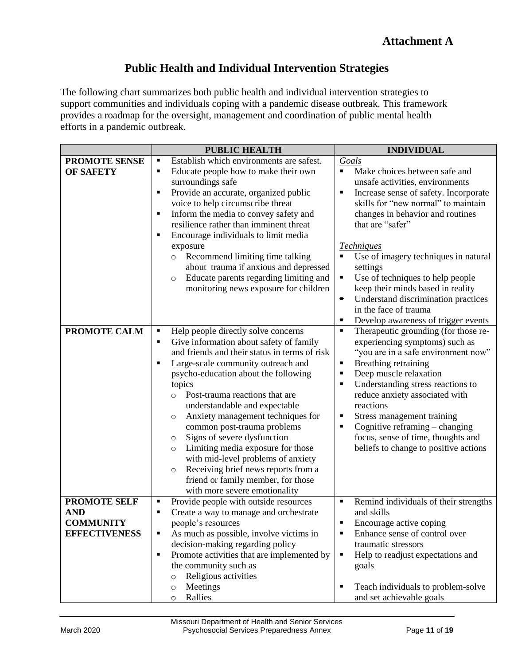# **Public Health and Individual Intervention Strategies**

The following chart summarizes both public health and individual intervention strategies to support communities and individuals coping with a pandemic disease outbreak. This framework provides a roadmap for the oversight, management and coordination of public mental health efforts in a pandemic outbreak.

|                                          | <b>PUBLIC HEALTH</b>                                                                                                                                                                                                                                                                                                                                                                                                                                                                                                                                                                                                                                                | <b>INDIVIDUAL</b>                                                                                                                                                                                                                                                                                                                                                                                                                                          |  |  |
|------------------------------------------|---------------------------------------------------------------------------------------------------------------------------------------------------------------------------------------------------------------------------------------------------------------------------------------------------------------------------------------------------------------------------------------------------------------------------------------------------------------------------------------------------------------------------------------------------------------------------------------------------------------------------------------------------------------------|------------------------------------------------------------------------------------------------------------------------------------------------------------------------------------------------------------------------------------------------------------------------------------------------------------------------------------------------------------------------------------------------------------------------------------------------------------|--|--|
| <b>PROMOTE SENSE</b>                     | Establish which environments are safest.<br>٠                                                                                                                                                                                                                                                                                                                                                                                                                                                                                                                                                                                                                       | Goals                                                                                                                                                                                                                                                                                                                                                                                                                                                      |  |  |
| <b>OF SAFETY</b>                         | Educate people how to make their own<br>٠<br>surroundings safe<br>Provide an accurate, organized public<br>$\blacksquare$<br>voice to help circumscribe threat<br>Inform the media to convey safety and<br>٠<br>resilience rather than imminent threat<br>Encourage individuals to limit media<br>exposure<br>Recommend limiting time talking<br>O<br>about trauma if anxious and depressed<br>Educate parents regarding limiting and<br>$\circ$<br>monitoring news exposure for children                                                                                                                                                                           | $\blacksquare$<br>Make choices between safe and<br>unsafe activities, environments<br>Increase sense of safety. Incorporate<br>$\blacksquare$<br>skills for "new normal" to maintain<br>changes in behavior and routines<br>that are "safer"<br><b>Techniques</b><br>Use of imagery techniques in natural<br>П<br>settings<br>Use of techniques to help people<br>٠<br>keep their minds based in reality                                                   |  |  |
|                                          |                                                                                                                                                                                                                                                                                                                                                                                                                                                                                                                                                                                                                                                                     | Understand discrimination practices<br>$\blacksquare$<br>in the face of trauma<br>Develop awareness of trigger events<br>٠                                                                                                                                                                                                                                                                                                                                 |  |  |
| PROMOTE CALM                             | Help people directly solve concerns<br>$\blacksquare$<br>Give information about safety of family<br>٠<br>and friends and their status in terms of risk<br>Large-scale community outreach and<br>٠<br>psycho-education about the following<br>topics<br>Post-trauma reactions that are<br>$\circ$<br>understandable and expectable<br>Anxiety management techniques for<br>O<br>common post-trauma problems<br>Signs of severe dysfunction<br>$\circ$<br>Limiting media exposure for those<br>$\circ$<br>with mid-level problems of anxiety<br>Receiving brief news reports from a<br>$\circ$<br>friend or family member, for those<br>with more severe emotionality | Therapeutic grounding (for those re-<br>$\blacksquare$<br>experiencing symptoms) such as<br>"you are in a safe environment now"<br>Breathing retraining<br>٠<br>Deep muscle relaxation<br>٠<br>Understanding stress reactions to<br>$\blacksquare$<br>reduce anxiety associated with<br>reactions<br>Stress management training<br>п<br>Cognitive reframing - changing<br>П<br>focus, sense of time, thoughts and<br>beliefs to change to positive actions |  |  |
| <b>PROMOTE SELF</b>                      | Provide people with outside resources<br>٠                                                                                                                                                                                                                                                                                                                                                                                                                                                                                                                                                                                                                          | Remind individuals of their strengths<br>Ξ                                                                                                                                                                                                                                                                                                                                                                                                                 |  |  |
| AND                                      | Create a way to manage and orchestrate<br>٠                                                                                                                                                                                                                                                                                                                                                                                                                                                                                                                                                                                                                         | and skills                                                                                                                                                                                                                                                                                                                                                                                                                                                 |  |  |
| <b>COMMUNITY</b><br><b>EFFECTIVENESS</b> | people's resources<br>$\blacksquare$                                                                                                                                                                                                                                                                                                                                                                                                                                                                                                                                                                                                                                | Encourage active coping<br>Enhance sense of control over                                                                                                                                                                                                                                                                                                                                                                                                   |  |  |
|                                          | As much as possible, involve victims in<br>decision-making regarding policy<br>Promote activities that are implemented by<br>$\blacksquare$<br>the community such as                                                                                                                                                                                                                                                                                                                                                                                                                                                                                                | traumatic stressors<br>Help to readjust expectations and<br>$\blacksquare$<br>goals                                                                                                                                                                                                                                                                                                                                                                        |  |  |
|                                          | Religious activities<br>$\circ$<br>Meetings<br>O<br>Rallies<br>$\circ$                                                                                                                                                                                                                                                                                                                                                                                                                                                                                                                                                                                              | Teach individuals to problem-solve<br>٠<br>and set achievable goals                                                                                                                                                                                                                                                                                                                                                                                        |  |  |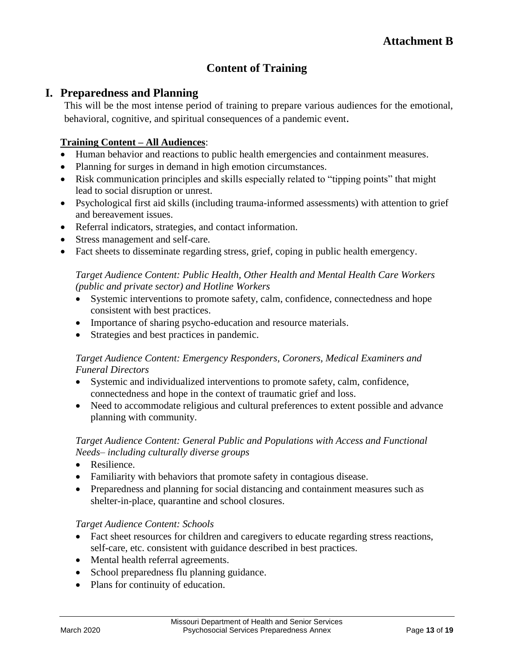# **Content of Training**

# **I. Preparedness and Planning**

This will be the most intense period of training to prepare various audiences for the emotional, behavioral, cognitive, and spiritual consequences of a pandemic event.

# **Training Content – All Audiences**:

- Human behavior and reactions to public health emergencies and containment measures.
- Planning for surges in demand in high emotion circumstances.
- Risk communication principles and skills especially related to "tipping points" that might lead to social disruption or unrest.
- Psychological first aid skills (including trauma-informed assessments) with attention to grief and bereavement issues.
- Referral indicators, strategies, and contact information.
- Stress management and self-care.
- Fact sheets to disseminate regarding stress, grief, coping in public health emergency.

## *Target Audience Content: Public Health, Other Health and Mental Health Care Workers (public and private sector) and Hotline Workers*

- Systemic interventions to promote safety, calm, confidence, connectedness and hope consistent with best practices.
- Importance of sharing psycho-education and resource materials.
- Strategies and best practices in pandemic.

## *Target Audience Content: Emergency Responders, Coroners, Medical Examiners and Funeral Directors*

- Systemic and individualized interventions to promote safety, calm, confidence, connectedness and hope in the context of traumatic grief and loss.
- Need to accommodate religious and cultural preferences to extent possible and advance planning with community.

## *Target Audience Content: General Public and Populations with Access and Functional Needs– including culturally diverse groups*

- Resilience.
- Familiarity with behaviors that promote safety in contagious disease.
- Preparedness and planning for social distancing and containment measures such as shelter-in-place, quarantine and school closures.

## *Target Audience Content: Schools*

- Fact sheet resources for children and caregivers to educate regarding stress reactions, self-care, etc. consistent with guidance described in best practices.
- Mental health referral agreements.
- School preparedness flu planning guidance.
- Plans for continuity of education.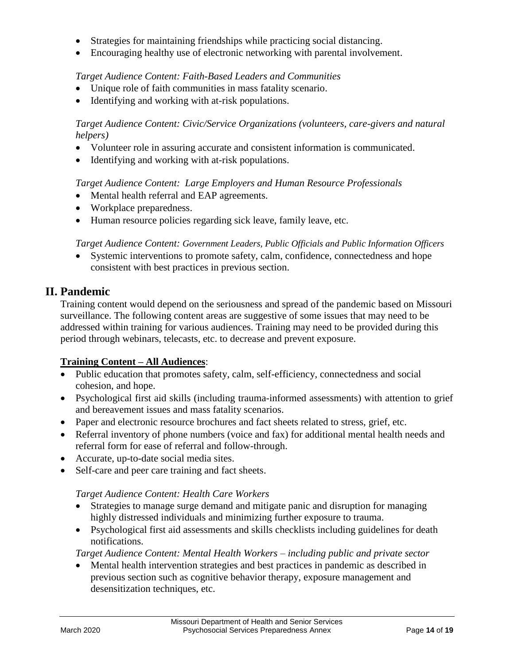- Strategies for maintaining friendships while practicing social distancing.
- Encouraging healthy use of electronic networking with parental involvement.

## *Target Audience Content: Faith-Based Leaders and Communities*

- Unique role of faith communities in mass fatality scenario.
- Identifying and working with at-risk populations.

## *Target Audience Content: Civic/Service Organizations (volunteers, care-givers and natural helpers)*

- Volunteer role in assuring accurate and consistent information is communicated.
- Identifying and working with at-risk populations.

#### *Target Audience Content: Large Employers and Human Resource Professionals*

- Mental health referral and EAP agreements.
- Workplace preparedness.
- Human resource policies regarding sick leave, family leave, etc.

#### *Target Audience Content: Government Leaders, Public Officials and Public Information Officers*

 Systemic interventions to promote safety, calm, confidence, connectedness and hope consistent with best practices in previous section.

## **II. Pandemic**

Training content would depend on the seriousness and spread of the pandemic based on Missouri surveillance. The following content areas are suggestive of some issues that may need to be addressed within training for various audiences. Training may need to be provided during this period through webinars, telecasts, etc. to decrease and prevent exposure.

## **Training Content – All Audiences**:

- Public education that promotes safety, calm, self-efficiency, connectedness and social cohesion, and hope.
- Psychological first aid skills (including trauma-informed assessments) with attention to grief and bereavement issues and mass fatality scenarios.
- Paper and electronic resource brochures and fact sheets related to stress, grief, etc.
- Referral inventory of phone numbers (voice and fax) for additional mental health needs and referral form for ease of referral and follow-through.
- Accurate, up-to-date social media sites.
- Self-care and peer care training and fact sheets.

#### *Target Audience Content: Health Care Workers*

- Strategies to manage surge demand and mitigate panic and disruption for managing highly distressed individuals and minimizing further exposure to trauma.
- Psychological first aid assessments and skills checklists including guidelines for death notifications.

*Target Audience Content: Mental Health Workers – including public and private sector*

 Mental health intervention strategies and best practices in pandemic as described in previous section such as cognitive behavior therapy, exposure management and desensitization techniques, etc.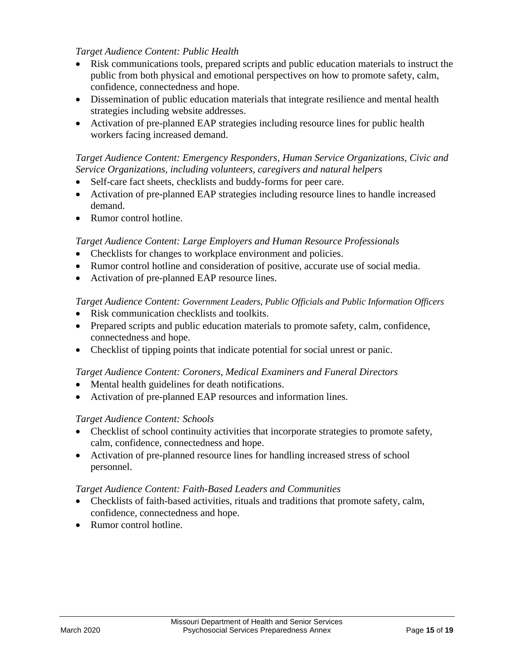## *Target Audience Content: Public Health*

- Risk communications tools, prepared scripts and public education materials to instruct the public from both physical and emotional perspectives on how to promote safety, calm, confidence, connectedness and hope.
- Dissemination of public education materials that integrate resilience and mental health strategies including website addresses.
- Activation of pre-planned EAP strategies including resource lines for public health workers facing increased demand.

#### *Target Audience Content: Emergency Responders, Human Service Organizations, Civic and Service Organizations, including volunteers, caregivers and natural helpers*

- Self-care fact sheets, checklists and buddy-forms for peer care.
- Activation of pre-planned EAP strategies including resource lines to handle increased demand.
- Rumor control hotline.

#### *Target Audience Content: Large Employers and Human Resource Professionals*

- Checklists for changes to workplace environment and policies.
- Rumor control hotline and consideration of positive, accurate use of social media.
- Activation of pre-planned EAP resource lines.

#### *Target Audience Content: Government Leaders, Public Officials and Public Information Officers*

- Risk communication checklists and toolkits.
- Prepared scripts and public education materials to promote safety, calm, confidence, connectedness and hope.
- Checklist of tipping points that indicate potential for social unrest or panic.

#### *Target Audience Content: Coroners, Medical Examiners and Funeral Directors*

- Mental health guidelines for death notifications.
- Activation of pre-planned EAP resources and information lines.

#### *Target Audience Content: Schools*

- Checklist of school continuity activities that incorporate strategies to promote safety, calm, confidence, connectedness and hope.
- Activation of pre-planned resource lines for handling increased stress of school personnel.

## *Target Audience Content: Faith-Based Leaders and Communities*

- Checklists of faith-based activities, rituals and traditions that promote safety, calm, confidence, connectedness and hope.
- Rumor control hotline.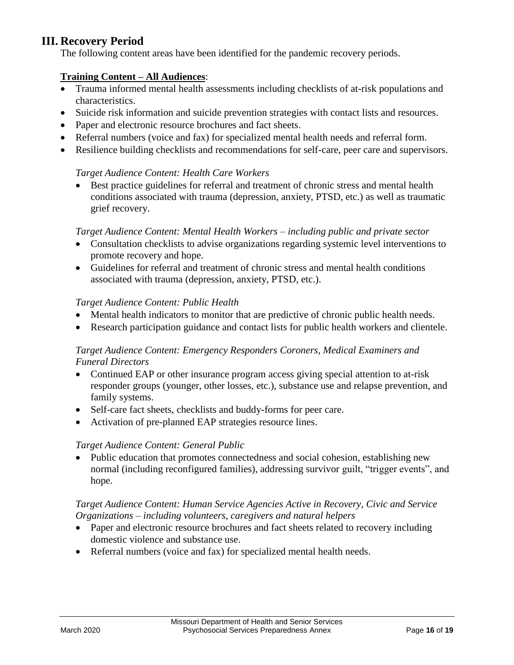# **III. Recovery Period**

The following content areas have been identified for the pandemic recovery periods.

#### **Training Content – All Audiences**:

- Trauma informed mental health assessments including checklists of at-risk populations and characteristics.
- Suicide risk information and suicide prevention strategies with contact lists and resources.
- Paper and electronic resource brochures and fact sheets.
- Referral numbers (voice and fax) for specialized mental health needs and referral form.
- Resilience building checklists and recommendations for self-care, peer care and supervisors.

#### *Target Audience Content: Health Care Workers*

 Best practice guidelines for referral and treatment of chronic stress and mental health conditions associated with trauma (depression, anxiety, PTSD, etc.) as well as traumatic grief recovery.

#### *Target Audience Content: Mental Health Workers – including public and private sector*

- Consultation checklists to advise organizations regarding systemic level interventions to promote recovery and hope.
- Guidelines for referral and treatment of chronic stress and mental health conditions associated with trauma (depression, anxiety, PTSD, etc.).

#### *Target Audience Content: Public Health*

- Mental health indicators to monitor that are predictive of chronic public health needs.
- Research participation guidance and contact lists for public health workers and clientele.

#### *Target Audience Content: Emergency Responders Coroners, Medical Examiners and Funeral Directors*

- Continued EAP or other insurance program access giving special attention to at-risk responder groups (younger, other losses, etc.), substance use and relapse prevention, and family systems.
- Self-care fact sheets, checklists and buddy-forms for peer care.
- Activation of pre-planned EAP strategies resource lines.

#### *Target Audience Content: General Public*

• Public education that promotes connectedness and social cohesion, establishing new normal (including reconfigured families), addressing survivor guilt, "trigger events", and hope.

## *Target Audience Content: Human Service Agencies Active in Recovery, Civic and Service Organizations – including volunteers, caregivers and natural helpers*

- Paper and electronic resource brochures and fact sheets related to recovery including domestic violence and substance use.
- Referral numbers (voice and fax) for specialized mental health needs.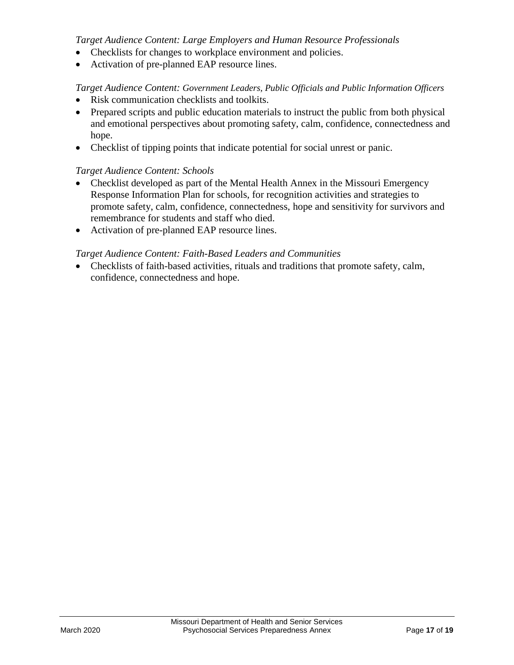#### *Target Audience Content: Large Employers and Human Resource Professionals*

- Checklists for changes to workplace environment and policies.
- Activation of pre-planned EAP resource lines.

## *Target Audience Content: Government Leaders, Public Officials and Public Information Officers*

- Risk communication checklists and toolkits.
- Prepared scripts and public education materials to instruct the public from both physical and emotional perspectives about promoting safety, calm, confidence, connectedness and hope.
- Checklist of tipping points that indicate potential for social unrest or panic.

#### *Target Audience Content: Schools*

- Checklist developed as part of the Mental Health Annex in the Missouri Emergency Response Information Plan for schools, for recognition activities and strategies to promote safety, calm, confidence, connectedness, hope and sensitivity for survivors and remembrance for students and staff who died.
- Activation of pre-planned EAP resource lines.

#### *Target Audience Content: Faith-Based Leaders and Communities*

 Checklists of faith-based activities, rituals and traditions that promote safety, calm, confidence, connectedness and hope.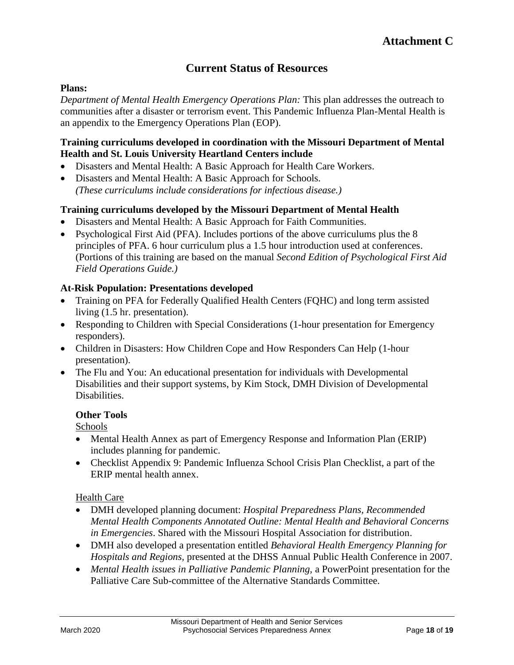# **Current Status of Resources**

#### **Plans:**

*Department of Mental Health Emergency Operations Plan:* This plan addresses the outreach to communities after a disaster or terrorism event. This Pandemic Influenza Plan-Mental Health is an appendix to the Emergency Operations Plan (EOP).

## **Training curriculums developed in coordination with the Missouri Department of Mental Health and St. Louis University Heartland Centers include**

- Disasters and Mental Health: A Basic Approach for Health Care Workers.
- Disasters and Mental Health: A Basic Approach for Schools*. (These curriculums include considerations for infectious disease.)*

#### **Training curriculums developed by the Missouri Department of Mental Health**

- Disasters and Mental Health: A Basic Approach for Faith Communities.
- Psychological First Aid (PFA). Includes portions of the above curriculums plus the 8 principles of PFA. 6 hour curriculum plus a 1.5 hour introduction used at conferences. (Portions of this training are based on the manual *Second Edition of Psychological First Aid Field Operations Guide.)*

#### **At-Risk Population: Presentations developed**

- Training on PFA for Federally Qualified Health Centers (FQHC) and long term assisted living (1.5 hr. presentation).
- Responding to Children with Special Considerations (1-hour presentation for Emergency responders).
- Children in Disasters: How Children Cope and How Responders Can Help (1-hour presentation).
- The Flu and You: An educational presentation for individuals with Developmental Disabilities and their support systems, by Kim Stock, DMH Division of Developmental Disabilities.

#### **Other Tools**

Schools

- Mental Health Annex as part of Emergency Response and Information Plan (ERIP) includes planning for pandemic.
- Checklist Appendix 9: Pandemic Influenza School Crisis Plan Checklist, a part of the ERIP mental health annex.

#### Health Care

- DMH developed planning document: *Hospital Preparedness Plans, Recommended Mental Health Components Annotated Outline: Mental Health and Behavioral Concerns in Emergencies*. Shared with the Missouri Hospital Association for distribution.
- DMH also developed a presentation entitled *Behavioral Health Emergency Planning for Hospitals and Regions,* presented at the DHSS Annual Public Health Conference in 2007.
- *Mental Health issues in Palliative Pandemic Planning,* a PowerPoint presentation for the Palliative Care Sub-committee of the Alternative Standards Committee.